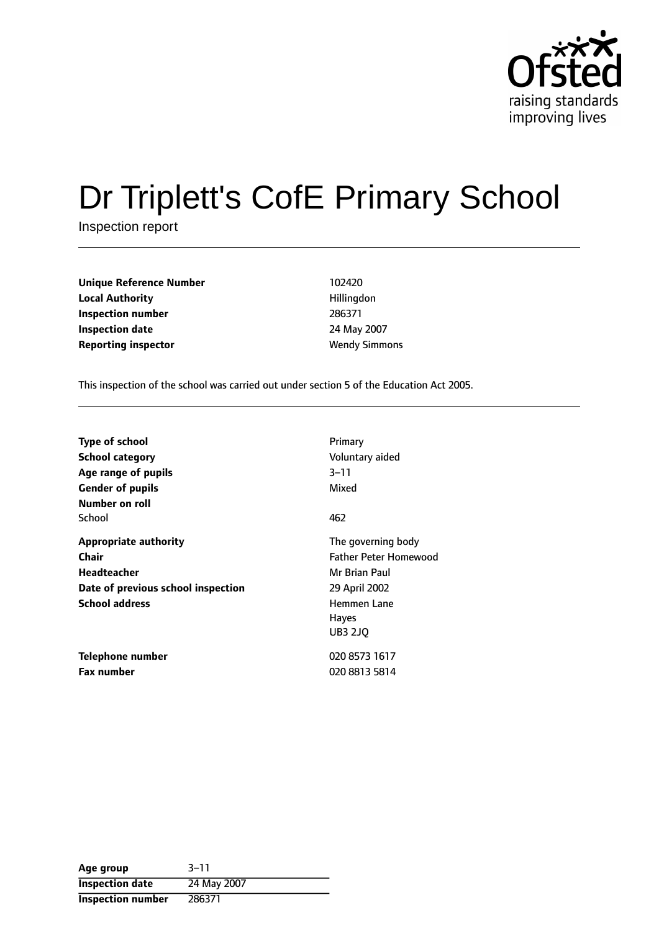

# Dr Triplett's CofE Primary School

Inspection report

**Unique Reference Number** 102420 **Local Authority Hillingdon Inspection number** 286371 **Inspection date** 24 May 2007 **Reporting inspector Wendy Simmons** 

This inspection of the school was carried out under section 5 of the Education Act 2005.

| <b>Type of school</b><br><b>School category</b><br>Age range of pupils<br><b>Gender of pupils</b><br>Number on roll               | Primary<br>Voluntary aided<br>$3 - 11$<br>Mixed                                                                                              |
|-----------------------------------------------------------------------------------------------------------------------------------|----------------------------------------------------------------------------------------------------------------------------------------------|
| School                                                                                                                            | 462                                                                                                                                          |
| <b>Appropriate authority</b><br><b>Chair</b><br><b>Headteacher</b><br>Date of previous school inspection<br><b>School address</b> | The governing body<br><b>Father Peter Homewood</b><br>Mr Brian Paul<br>29 April 2002<br><b>Hemmen Lane</b><br><b>Hayes</b><br><b>UB3 2JO</b> |
| <b>Telephone number</b><br><b>Fax number</b>                                                                                      | 020 8573 1617<br>020 8813 5814                                                                                                               |

| Age group                | $3 - 11$    |
|--------------------------|-------------|
| <b>Inspection date</b>   | 24 May 2007 |
| <b>Inspection number</b> | 286371      |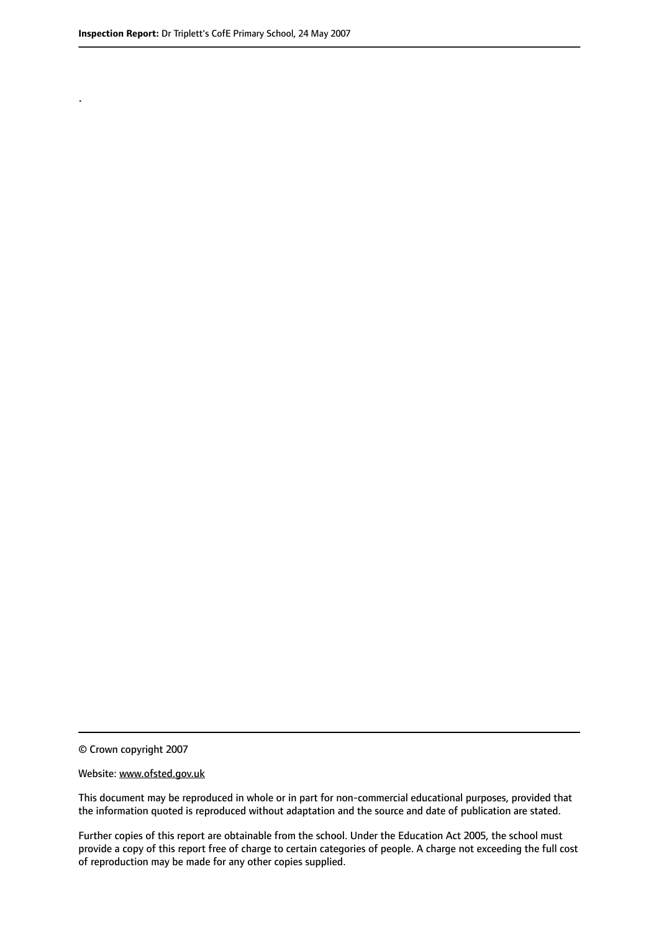.

This document may be reproduced in whole or in part for non-commercial educational purposes, provided that the information quoted is reproduced without adaptation and the source and date of publication are stated.

Further copies of this report are obtainable from the school. Under the Education Act 2005, the school must provide a copy of this report free of charge to certain categories of people. A charge not exceeding the full cost of reproduction may be made for any other copies supplied.

<sup>©</sup> Crown copyright 2007

Website: www.ofsted.gov.uk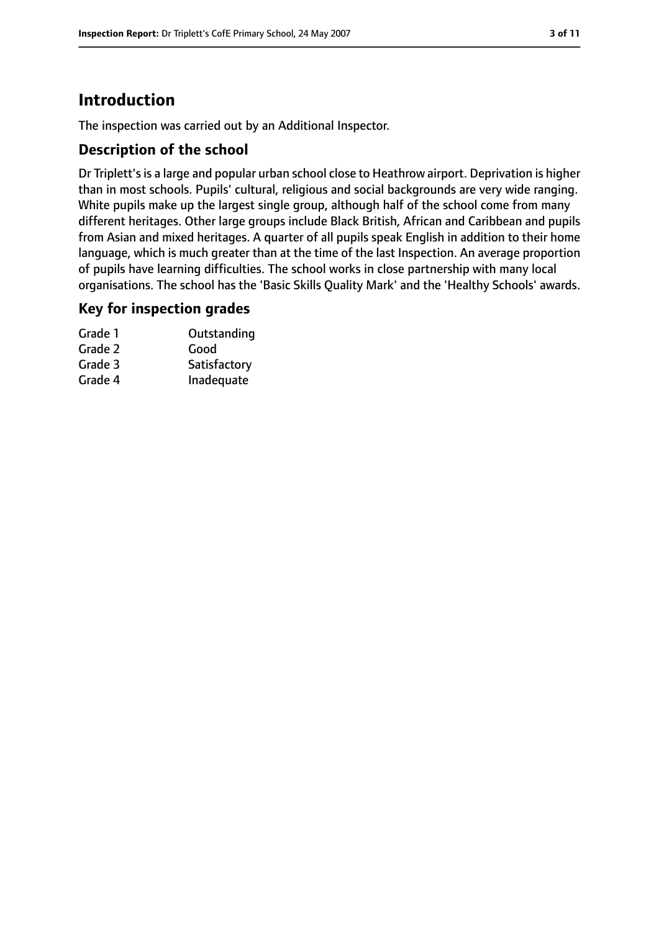# **Introduction**

The inspection was carried out by an Additional Inspector.

#### **Description of the school**

Dr Triplett's is a large and popular urban school close to Heathrow airport. Deprivation is higher than in most schools. Pupils' cultural, religious and social backgrounds are very wide ranging. White pupils make up the largest single group, although half of the school come from many different heritages. Other large groups include Black British, African and Caribbean and pupils from Asian and mixed heritages. A quarter of all pupils speak English in addition to their home language, which is much greater than at the time of the last Inspection. An average proportion of pupils have learning difficulties. The school works in close partnership with many local organisations. The school has the 'Basic Skills Quality Mark' and the 'Healthy Schools' awards.

#### **Key for inspection grades**

| Grade 1 | Outstanding  |
|---------|--------------|
| Grade 2 | Good         |
| Grade 3 | Satisfactory |
| Grade 4 | Inadequate   |
|         |              |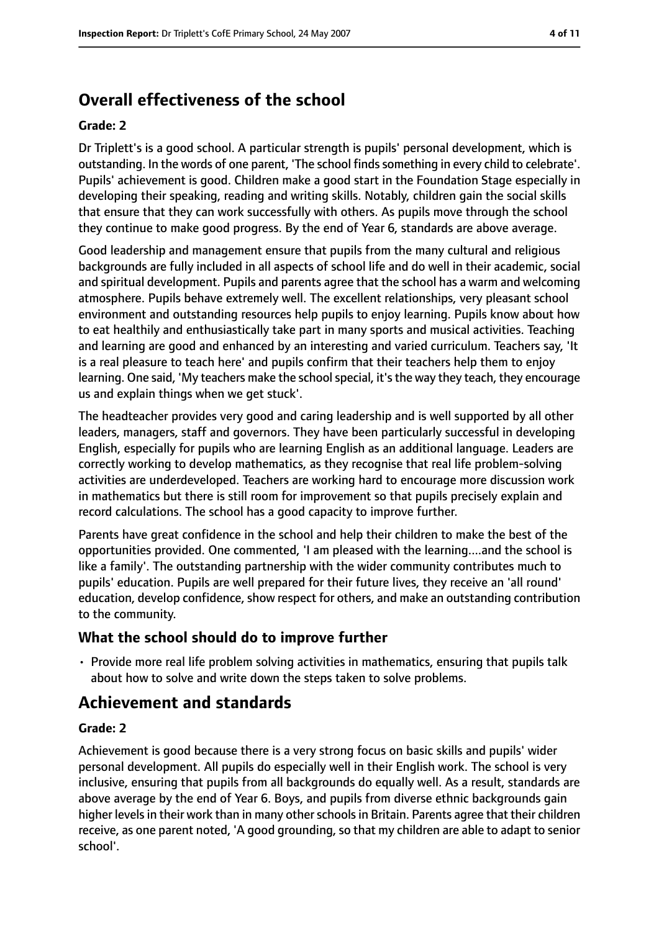# **Overall effectiveness of the school**

#### **Grade: 2**

Dr Triplett's is a good school. A particular strength is pupils' personal development, which is outstanding. In the words of one parent, 'The school findssomething in every child to celebrate'. Pupils' achievement is good. Children make a good start in the Foundation Stage especially in developing their speaking, reading and writing skills. Notably, children gain the social skills that ensure that they can work successfully with others. As pupils move through the school they continue to make good progress. By the end of Year 6, standards are above average.

Good leadership and management ensure that pupils from the many cultural and religious backgrounds are fully included in all aspects of school life and do well in their academic, social and spiritual development. Pupils and parents agree that the school has a warm and welcoming atmosphere. Pupils behave extremely well. The excellent relationships, very pleasant school environment and outstanding resources help pupils to enjoy learning. Pupils know about how to eat healthily and enthusiastically take part in many sports and musical activities. Teaching and learning are good and enhanced by an interesting and varied curriculum. Teachers say, 'It is a real pleasure to teach here' and pupils confirm that their teachers help them to enjoy learning. One said, 'My teachers make the school special, it's the way they teach, they encourage us and explain things when we get stuck'.

The headteacher provides very good and caring leadership and is well supported by all other leaders, managers, staff and governors. They have been particularly successful in developing English, especially for pupils who are learning English as an additional language. Leaders are correctly working to develop mathematics, as they recognise that real life problem-solving activities are underdeveloped. Teachers are working hard to encourage more discussion work in mathematics but there is still room for improvement so that pupils precisely explain and record calculations. The school has a good capacity to improve further.

Parents have great confidence in the school and help their children to make the best of the opportunities provided. One commented, 'I am pleased with the learning....and the school is like a family'. The outstanding partnership with the wider community contributes much to pupils' education. Pupils are well prepared for their future lives, they receive an 'all round' education, develop confidence, show respect for others, and make an outstanding contribution to the community.

## **What the school should do to improve further**

• Provide more real life problem solving activities in mathematics, ensuring that pupils talk about how to solve and write down the steps taken to solve problems.

## **Achievement and standards**

#### **Grade: 2**

Achievement is good because there is a very strong focus on basic skills and pupils' wider personal development. All pupils do especially well in their English work. The school is very inclusive, ensuring that pupils from all backgrounds do equally well. As a result, standards are above average by the end of Year 6. Boys, and pupils from diverse ethnic backgrounds gain higher levels in their work than in many other schools in Britain. Parents agree that their children receive, as one parent noted, 'A good grounding, so that my children are able to adapt to senior school'.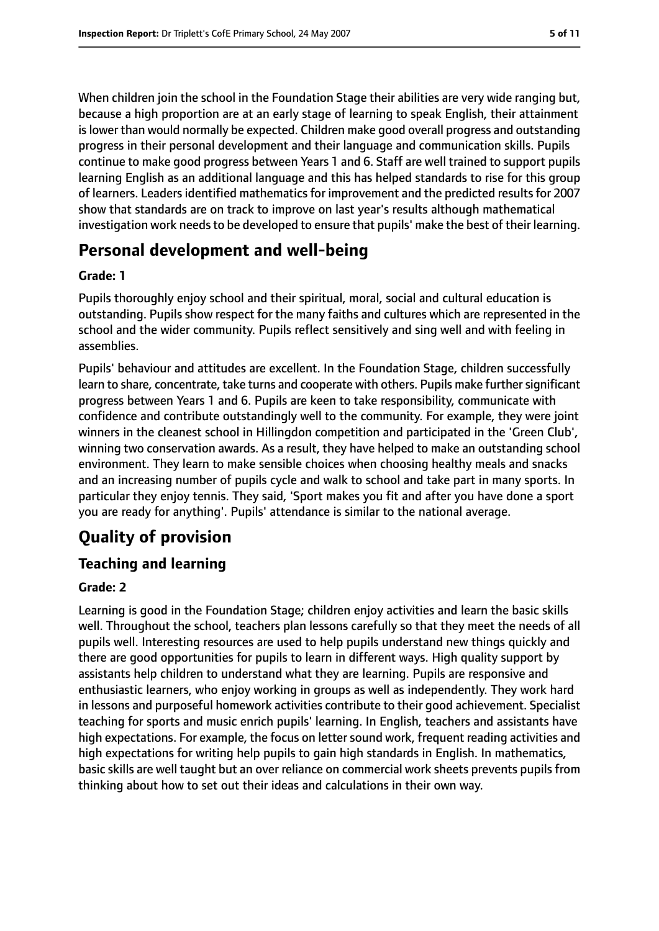When children join the school in the Foundation Stage their abilities are very wide ranging but, because a high proportion are at an early stage of learning to speak English, their attainment islower than would normally be expected. Children make good overall progress and outstanding progress in their personal development and their language and communication skills. Pupils continue to make good progress between Years 1 and 6. Staff are well trained to support pupils learning English as an additional language and this has helped standards to rise for this group of learners. Leaders identified mathematics for improvement and the predicted results for 2007 show that standards are on track to improve on last year's results although mathematical investigation work needs to be developed to ensure that pupils' make the best of their learning.

# **Personal development and well-being**

#### **Grade: 1**

Pupils thoroughly enjoy school and their spiritual, moral, social and cultural education is outstanding. Pupils show respect for the many faiths and cultures which are represented in the school and the wider community. Pupils reflect sensitively and sing well and with feeling in assemblies.

Pupils' behaviour and attitudes are excellent. In the Foundation Stage, children successfully learn to share, concentrate, take turns and cooperate with others. Pupils make further significant progress between Years 1 and 6. Pupils are keen to take responsibility, communicate with confidence and contribute outstandingly well to the community. For example, they were joint winners in the cleanest school in Hillingdon competition and participated in the 'Green Club', winning two conservation awards. As a result, they have helped to make an outstanding school environment. They learn to make sensible choices when choosing healthy meals and snacks and an increasing number of pupils cycle and walk to school and take part in many sports. In particular they enjoy tennis. They said, 'Sport makes you fit and after you have done a sport you are ready for anything'. Pupils' attendance is similar to the national average.

# **Quality of provision**

## **Teaching and learning**

#### **Grade: 2**

Learning is good in the Foundation Stage; children enjoy activities and learn the basic skills well. Throughout the school, teachers plan lessons carefully so that they meet the needs of all pupils well. Interesting resources are used to help pupils understand new things quickly and there are good opportunities for pupils to learn in different ways. High quality support by assistants help children to understand what they are learning. Pupils are responsive and enthusiastic learners, who enjoy working in groups as well as independently. They work hard in lessons and purposeful homework activities contribute to their good achievement. Specialist teaching for sports and music enrich pupils' learning. In English, teachers and assistants have high expectations. For example, the focus on letter sound work, frequent reading activities and high expectations for writing help pupils to gain high standards in English. In mathematics, basic skills are well taught but an over reliance on commercial work sheets prevents pupils from thinking about how to set out their ideas and calculations in their own way.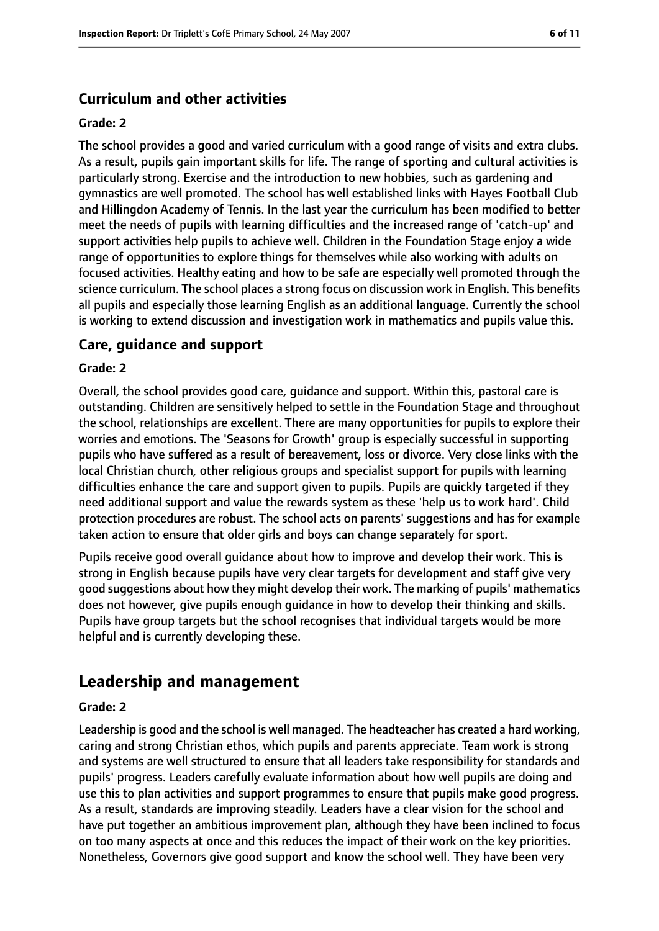## **Curriculum and other activities**

#### **Grade: 2**

The school provides a good and varied curriculum with a good range of visits and extra clubs. As a result, pupils gain important skills for life. The range of sporting and cultural activities is particularly strong. Exercise and the introduction to new hobbies, such as gardening and gymnastics are well promoted. The school has well established links with Hayes Football Club and Hillingdon Academy of Tennis. In the last year the curriculum has been modified to better meet the needs of pupils with learning difficulties and the increased range of 'catch-up' and support activities help pupils to achieve well. Children in the Foundation Stage enjoy a wide range of opportunities to explore things for themselves while also working with adults on focused activities. Healthy eating and how to be safe are especially well promoted through the science curriculum. The school places a strong focus on discussion work in English. This benefits all pupils and especially those learning English as an additional language. Currently the school is working to extend discussion and investigation work in mathematics and pupils value this.

#### **Care, guidance and support**

#### **Grade: 2**

Overall, the school provides good care, guidance and support. Within this, pastoral care is outstanding. Children are sensitively helped to settle in the Foundation Stage and throughout the school, relationships are excellent. There are many opportunities for pupils to explore their worries and emotions. The 'Seasons for Growth' group is especially successful in supporting pupils who have suffered as a result of bereavement, loss or divorce. Very close links with the local Christian church, other religious groups and specialist support for pupils with learning difficulties enhance the care and support given to pupils. Pupils are quickly targeted if they need additional support and value the rewards system as these 'help us to work hard'. Child protection procedures are robust. The school acts on parents' suggestions and has for example taken action to ensure that older girls and boys can change separately for sport.

Pupils receive good overall guidance about how to improve and develop their work. This is strong in English because pupils have very clear targets for development and staff give very good suggestions about how they might develop their work. The marking of pupils' mathematics does not however, give pupils enough guidance in how to develop their thinking and skills. Pupils have group targets but the school recognises that individual targets would be more helpful and is currently developing these.

# **Leadership and management**

#### **Grade: 2**

Leadership is good and the school is well managed. The headteacher has created a hard working, caring and strong Christian ethos, which pupils and parents appreciate. Team work is strong and systems are well structured to ensure that all leaders take responsibility for standards and pupils' progress. Leaders carefully evaluate information about how well pupils are doing and use this to plan activities and support programmes to ensure that pupils make good progress. As a result, standards are improving steadily. Leaders have a clear vision for the school and have put together an ambitious improvement plan, although they have been inclined to focus on too many aspects at once and this reduces the impact of their work on the key priorities. Nonetheless, Governors give good support and know the school well. They have been very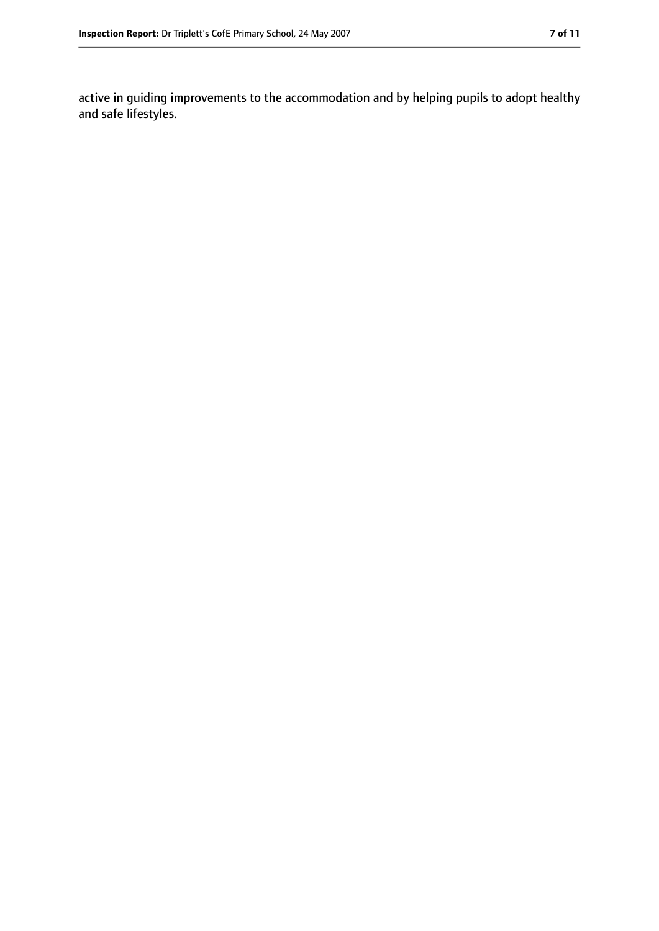active in guiding improvements to the accommodation and by helping pupils to adopt healthy and safe lifestyles.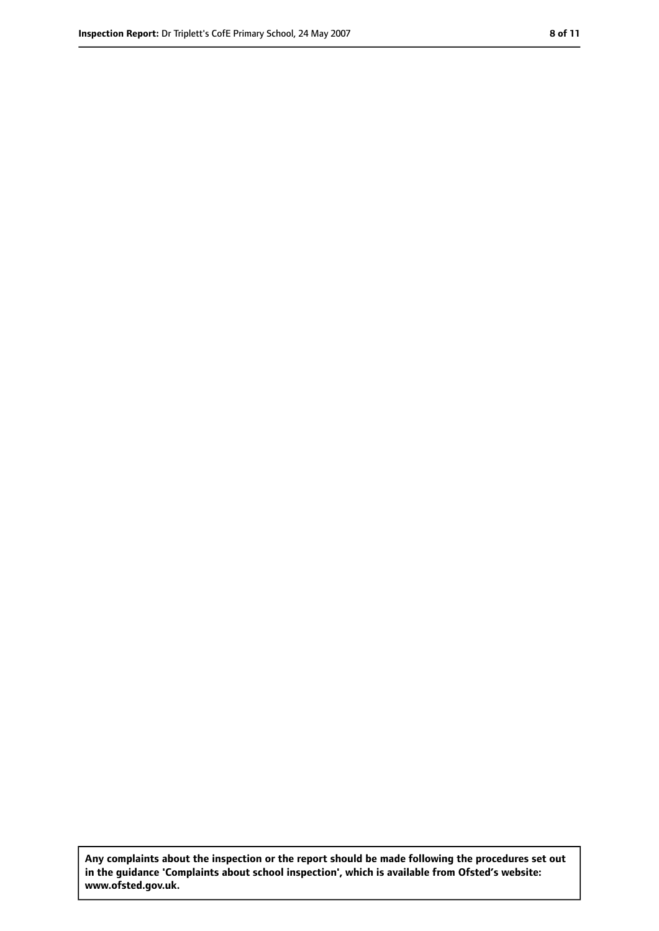**Any complaints about the inspection or the report should be made following the procedures set out in the guidance 'Complaints about school inspection', which is available from Ofsted's website: www.ofsted.gov.uk.**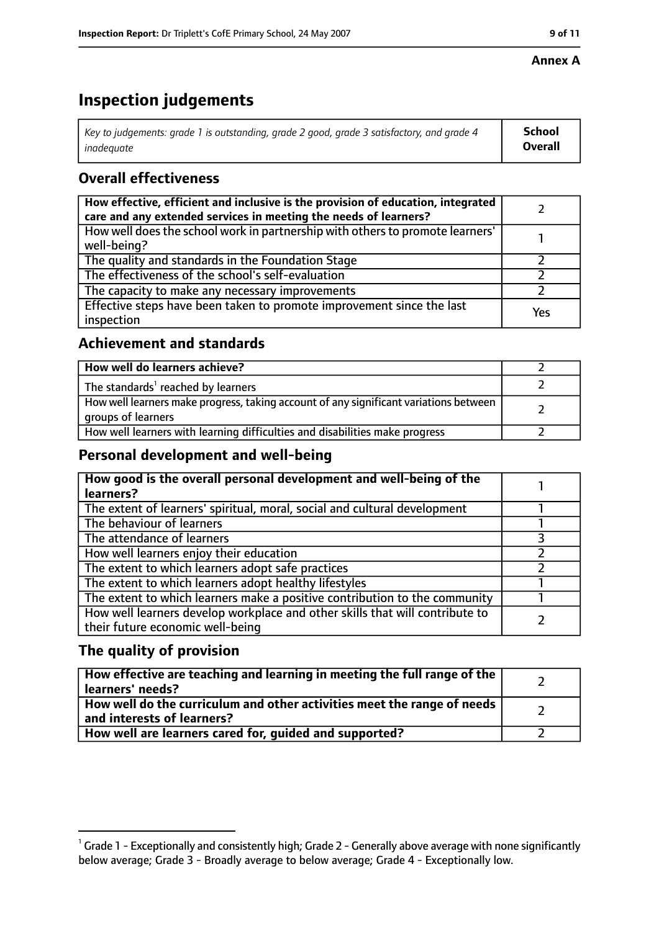#### **Annex A**

# **Inspection judgements**

| Key to judgements: grade 1 is outstanding, grade 2 good, grade 3 satisfactory, and grade 4 $\,$ | <b>School</b>  |
|-------------------------------------------------------------------------------------------------|----------------|
| inadequate                                                                                      | <b>Overall</b> |

## **Overall effectiveness**

| How effective, efficient and inclusive is the provision of education, integrated<br>care and any extended services in meeting the needs of learners? |     |
|------------------------------------------------------------------------------------------------------------------------------------------------------|-----|
| How well does the school work in partnership with others to promote learners'<br>well-being?                                                         |     |
| The quality and standards in the Foundation Stage                                                                                                    |     |
| The effectiveness of the school's self-evaluation                                                                                                    |     |
| The capacity to make any necessary improvements                                                                                                      |     |
| Effective steps have been taken to promote improvement since the last<br>inspection                                                                  | Yes |

## **Achievement and standards**

| How well do learners achieve?                                                                               |  |
|-------------------------------------------------------------------------------------------------------------|--|
| The standards <sup>1</sup> reached by learners                                                              |  |
| How well learners make progress, taking account of any significant variations between<br>groups of learners |  |
| How well learners with learning difficulties and disabilities make progress                                 |  |

## **Personal development and well-being**

| How good is the overall personal development and well-being of the<br>learners? |  |
|---------------------------------------------------------------------------------|--|
|                                                                                 |  |
| The extent of learners' spiritual, moral, social and cultural development       |  |
| The behaviour of learners                                                       |  |
| The attendance of learners                                                      |  |
| How well learners enjoy their education                                         |  |
| The extent to which learners adopt safe practices                               |  |
| The extent to which learners adopt healthy lifestyles                           |  |
| The extent to which learners make a positive contribution to the community      |  |
| How well learners develop workplace and other skills that will contribute to    |  |
| their future economic well-being                                                |  |

## **The quality of provision**

| How effective are teaching and learning in meeting the full range of the<br>learners' needs?          |  |
|-------------------------------------------------------------------------------------------------------|--|
| How well do the curriculum and other activities meet the range of needs<br>and interests of learners? |  |
| How well are learners cared for, guided and supported?                                                |  |

 $^1$  Grade 1 - Exceptionally and consistently high; Grade 2 - Generally above average with none significantly below average; Grade 3 - Broadly average to below average; Grade 4 - Exceptionally low.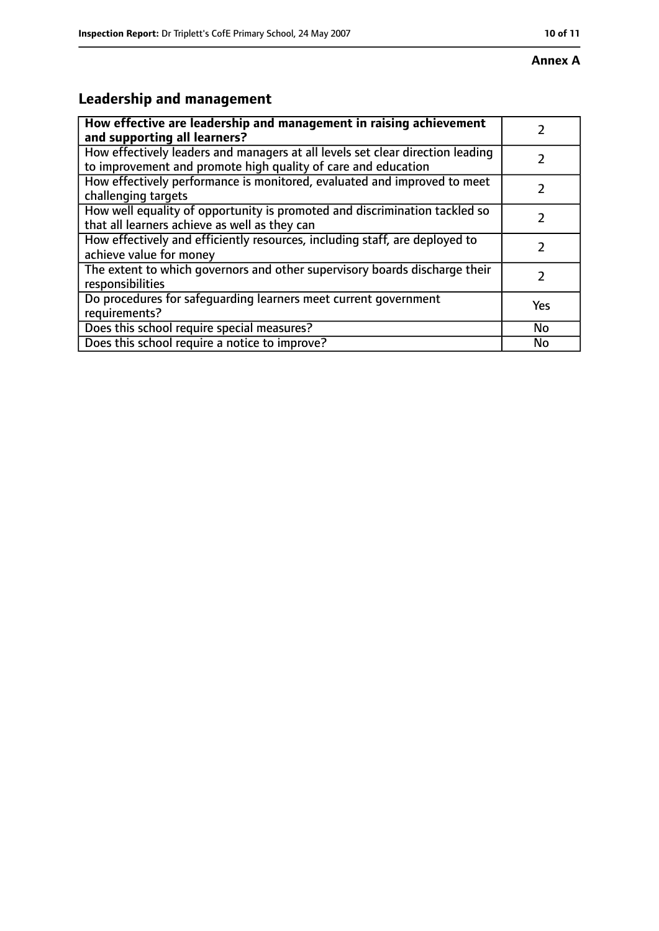# **Leadership and management**

| How effective are leadership and management in raising achievement<br>and supporting all learners?                                              |           |
|-------------------------------------------------------------------------------------------------------------------------------------------------|-----------|
| How effectively leaders and managers at all levels set clear direction leading<br>to improvement and promote high quality of care and education |           |
| How effectively performance is monitored, evaluated and improved to meet<br>challenging targets                                                 |           |
| How well equality of opportunity is promoted and discrimination tackled so<br>that all learners achieve as well as they can                     |           |
| How effectively and efficiently resources, including staff, are deployed to<br>achieve value for money                                          |           |
| The extent to which governors and other supervisory boards discharge their<br>responsibilities                                                  | 7         |
| Do procedures for safequarding learners meet current government<br>requirements?                                                                | Yes       |
| Does this school require special measures?                                                                                                      | <b>No</b> |
| Does this school require a notice to improve?                                                                                                   | No        |